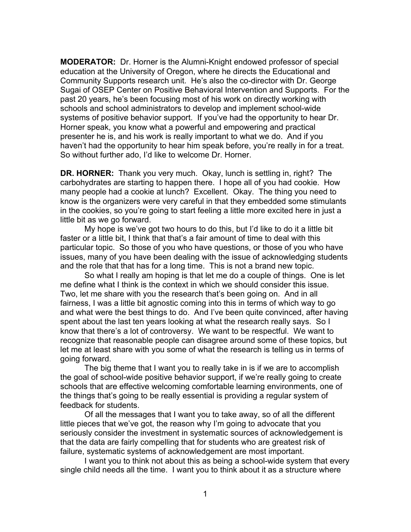**MODERATOR:** Dr. Horner is the Alumni-Knight endowed professor of special education at the University of Oregon, where he directs the Educational and Community Supports research unit. He's also the co-director with Dr. George Sugai of OSEP Center on Positive Behavioral Intervention and Supports. For the past 20 years, he's been focusing most of his work on directly working with schools and school administrators to develop and implement school-wide systems of positive behavior support. If you've had the opportunity to hear Dr. Horner speak, you know what a powerful and empowering and practical presenter he is, and his work is really important to what we do. And if you haven't had the opportunity to hear him speak before, you're really in for a treat. So without further ado, I'd like to welcome Dr. Horner.

**DR. HORNER:** Thank you very much. Okay, lunch is settling in, right? The carbohydrates are starting to happen there. I hope all of you had cookie. How many people had a cookie at lunch? Excellent. Okay. The thing you need to know is the organizers were very careful in that they embedded some stimulants in the cookies, so you're going to start feeling a little more excited here in just a little bit as we go forward.

My hope is we've got two hours to do this, but I'd like to do it a little bit faster or a little bit, I think that that's a fair amount of time to deal with this particular topic. So those of you who have questions, or those of you who have issues, many of you have been dealing with the issue of acknowledging students and the role that that has for a long time. This is not a brand new topic.

So what I really am hoping is that let me do a couple of things. One is let me define what I think is the context in which we should consider this issue. Two, let me share with you the research that's been going on. And in all fairness, I was a little bit agnostic coming into this in terms of which way to go and what were the best things to do. And I've been quite convinced, after having spent about the last ten years looking at what the research really says. So I know that there's a lot of controversy. We want to be respectful. We want to recognize that reasonable people can disagree around some of these topics, but let me at least share with you some of what the research is telling us in terms of going forward.

The big theme that I want you to really take in is if we are to accomplish the goal of school-wide positive behavior support, if we're really going to create schools that are effective welcoming comfortable learning environments, one of the things that's going to be really essential is providing a regular system of feedback for students.

Of all the messages that I want you to take away, so of all the different little pieces that we've got, the reason why I'm going to advocate that you seriously consider the investment in systematic sources of acknowledgement is that the data are fairly compelling that for students who are greatest risk of failure, systematic systems of acknowledgement are most important.

I want you to think not about this as being a school-wide system that every single child needs all the time. I want you to think about it as a structure where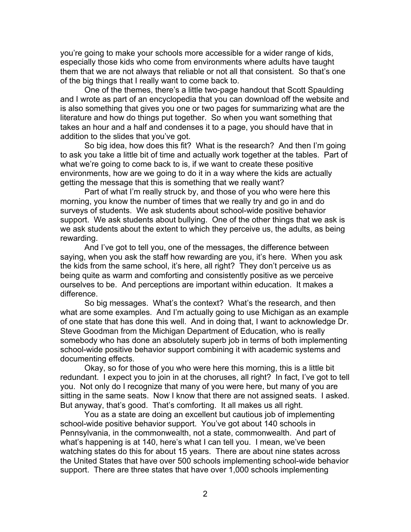you're going to make your schools more accessible for a wider range of kids, especially those kids who come from environments where adults have taught them that we are not always that reliable or not all that consistent. So that's one of the big things that I really want to come back to.

One of the themes, there's a little two-page handout that Scott Spaulding and I wrote as part of an encyclopedia that you can download off the website and is also something that gives you one or two pages for summarizing what are the literature and how do things put together. So when you want something that takes an hour and a half and condenses it to a page, you should have that in addition to the slides that you've got.

So big idea, how does this fit? What is the research? And then I'm going to ask you take a little bit of time and actually work together at the tables. Part of what we're going to come back to is, if we want to create these positive environments, how are we going to do it in a way where the kids are actually getting the message that this is something that we really want?

Part of what I'm really struck by, and those of you who were here this morning, you know the number of times that we really try and go in and do surveys of students. We ask students about school-wide positive behavior support. We ask students about bullying. One of the other things that we ask is we ask students about the extent to which they perceive us, the adults, as being rewarding.

And I've got to tell you, one of the messages, the difference between saying, when you ask the staff how rewarding are you, it's here. When you ask the kids from the same school, it's here, all right? They don't perceive us as being quite as warm and comforting and consistently positive as we perceive ourselves to be. And perceptions are important within education. It makes a difference.

So big messages. What's the context? What's the research, and then what are some examples. And I'm actually going to use Michigan as an example of one state that has done this well. And in doing that, I want to acknowledge Dr. Steve Goodman from the Michigan Department of Education, who is really somebody who has done an absolutely superb job in terms of both implementing school-wide positive behavior support combining it with academic systems and documenting effects.

Okay, so for those of you who were here this morning, this is a little bit redundant. I expect you to join in at the choruses, all right? In fact, I've got to tell you. Not only do I recognize that many of you were here, but many of you are sitting in the same seats. Now I know that there are not assigned seats. I asked. But anyway, that's good. That's comforting. It all makes us all right.

You as a state are doing an excellent but cautious job of implementing school-wide positive behavior support. You've got about 140 schools in Pennsylvania, in the commonwealth, not a state, commonwealth. And part of what's happening is at 140, here's what I can tell you. I mean, we've been watching states do this for about 15 years. There are about nine states across the United States that have over 500 schools implementing school-wide behavior support. There are three states that have over 1,000 schools implementing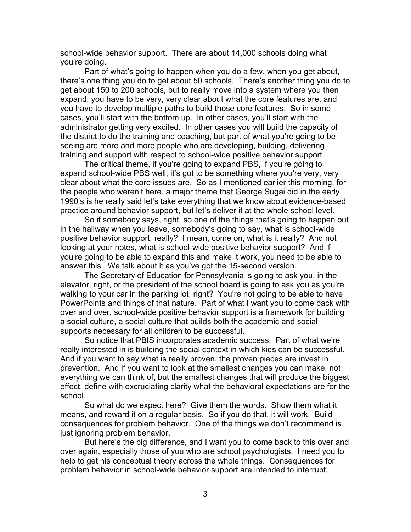school-wide behavior support. There are about 14,000 schools doing what you're doing.

Part of what's going to happen when you do a few, when you get about, there's one thing you do to get about 50 schools. There's another thing you do to get about 150 to 200 schools, but to really move into a system where you then expand, you have to be very, very clear about what the core features are, and you have to develop multiple paths to build those core features. So in some cases, you'll start with the bottom up. In other cases, you'll start with the administrator getting very excited. In other cases you will build the capacity of the district to do the training and coaching, but part of what you're going to be seeing are more and more people who are developing, building, delivering training and support with respect to school-wide positive behavior support.

The critical theme, if you're going to expand PBS, if you're going to expand school-wide PBS well, it's got to be something where you're very, very clear about what the core issues are. So as I mentioned earlier this morning, for the people who weren't here, a major theme that George Sugai did in the early 1990's is he really said let's take everything that we know about evidence-based practice around behavior support, but let's deliver it at the whole school level.

So if somebody says, right, so one of the things that's going to happen out in the hallway when you leave, somebody's going to say, what is school-wide positive behavior support, really? I mean, come on, what is it really? And not looking at your notes, what is school-wide positive behavior support? And if you're going to be able to expand this and make it work, you need to be able to answer this. We talk about it as you've got the 15-second version.

The Secretary of Education for Pennsylvania is going to ask you, in the elevator, right, or the president of the school board is going to ask you as you're walking to your car in the parking lot, right? You're not going to be able to have PowerPoints and things of that nature. Part of what I want you to come back with over and over, school-wide positive behavior support is a framework for building a social culture, a social culture that builds both the academic and social supports necessary for all children to be successful.

So notice that PBIS incorporates academic success. Part of what we're really interested in is building the social context in which kids can be successful. And if you want to say what is really proven, the proven pieces are invest in prevention. And if you want to look at the smallest changes you can make, not everything we can think of, but the smallest changes that will produce the biggest effect, define with excruciating clarity what the behavioral expectations are for the school.

So what do we expect here? Give them the words. Show them what it means, and reward it on a regular basis. So if you do that, it will work. Build consequences for problem behavior. One of the things we don't recommend is just ignoring problem behavior.

But here's the big difference, and I want you to come back to this over and over again, especially those of you who are school psychologists. I need you to help to get his conceptual theory across the whole things. Consequences for problem behavior in school-wide behavior support are intended to interrupt,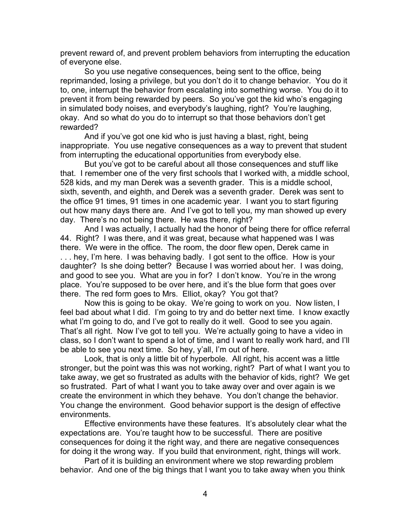prevent reward of, and prevent problem behaviors from interrupting the education of everyone else.

So you use negative consequences, being sent to the office, being reprimanded, losing a privilege, but you don't do it to change behavior. You do it to, one, interrupt the behavior from escalating into something worse. You do it to prevent it from being rewarded by peers. So you've got the kid who's engaging in simulated body noises, and everybody's laughing, right? You're laughing, okay. And so what do you do to interrupt so that those behaviors don't get rewarded?

And if you've got one kid who is just having a blast, right, being inappropriate. You use negative consequences as a way to prevent that student from interrupting the educational opportunities from everybody else.

But you've got to be careful about all those consequences and stuff like that. I remember one of the very first schools that I worked with, a middle school, 528 kids, and my man Derek was a seventh grader. This is a middle school, sixth, seventh, and eighth, and Derek was a seventh grader. Derek was sent to the office 91 times, 91 times in one academic year. I want you to start figuring out how many days there are. And I've got to tell you, my man showed up every day. There's no not being there. He was there, right?

And I was actually, I actually had the honor of being there for office referral 44. Right? I was there, and it was great, because what happened was I was there. We were in the office. The room, the door flew open, Derek came in . . . hey, I'm here. I was behaving badly. I got sent to the office. How is your daughter? Is she doing better? Because I was worried about her. I was doing, and good to see you. What are you in for? I don't know. You're in the wrong place. You're supposed to be over here, and it's the blue form that goes over there. The red form goes to Mrs. Elliot, okay? You got that?

Now this is going to be okay. We're going to work on you. Now listen, I feel bad about what I did. I'm going to try and do better next time. I know exactly what I'm going to do, and I've got to really do it well. Good to see you again. That's all right. Now I've got to tell you. We're actually going to have a video in class, so I don't want to spend a lot of time, and I want to really work hard, and I'll be able to see you next time. So hey, y'all, I'm out of here.

Look, that is only a little bit of hyperbole. All right, his accent was a little stronger, but the point was this was not working, right? Part of what I want you to take away, we get so frustrated as adults with the behavior of kids, right? We get so frustrated. Part of what I want you to take away over and over again is we create the environment in which they behave. You don't change the behavior. You change the environment. Good behavior support is the design of effective environments.

Effective environments have these features. It's absolutely clear what the expectations are. You're taught how to be successful. There are positive consequences for doing it the right way, and there are negative consequences for doing it the wrong way. If you build that environment, right, things will work.

Part of it is building an environment where we stop rewarding problem behavior. And one of the big things that I want you to take away when you think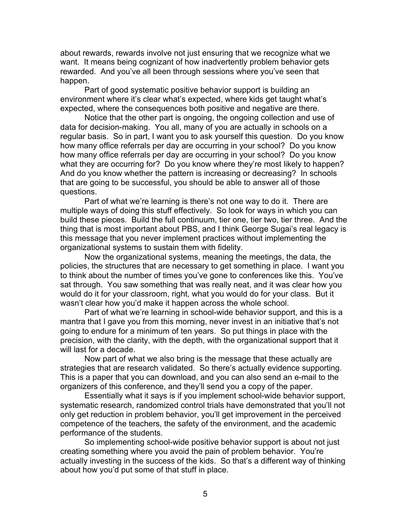about rewards, rewards involve not just ensuring that we recognize what we want. It means being cognizant of how inadvertently problem behavior gets rewarded. And you've all been through sessions where you've seen that happen.

Part of good systematic positive behavior support is building an environment where it's clear what's expected, where kids get taught what's expected, where the consequences both positive and negative are there.

Notice that the other part is ongoing, the ongoing collection and use of data for decision-making. You all, many of you are actually in schools on a regular basis. So in part, I want you to ask yourself this question. Do you know how many office referrals per day are occurring in your school? Do you know how many office referrals per day are occurring in your school? Do you know what they are occurring for? Do you know where they're most likely to happen? And do you know whether the pattern is increasing or decreasing? In schools that are going to be successful, you should be able to answer all of those questions.

Part of what we're learning is there's not one way to do it. There are multiple ways of doing this stuff effectively. So look for ways in which you can build these pieces. Build the full continuum, tier one, tier two, tier three. And the thing that is most important about PBS, and I think George Sugai's real legacy is this message that you never implement practices without implementing the organizational systems to sustain them with fidelity.

Now the organizational systems, meaning the meetings, the data, the policies, the structures that are necessary to get something in place. I want you to think about the number of times you've gone to conferences like this. You've sat through. You saw something that was really neat, and it was clear how you would do it for your classroom, right, what you would do for your class. But it wasn't clear how you'd make it happen across the whole school.

Part of what we're learning in school-wide behavior support, and this is a mantra that I gave you from this morning, never invest in an initiative that's not going to endure for a minimum of ten years. So put things in place with the precision, with the clarity, with the depth, with the organizational support that it will last for a decade.

Now part of what we also bring is the message that these actually are strategies that are research validated. So there's actually evidence supporting. This is a paper that you can download, and you can also send an e-mail to the organizers of this conference, and they'll send you a copy of the paper.

Essentially what it says is if you implement school-wide behavior support, systematic research, randomized control trials have demonstrated that you'll not only get reduction in problem behavior, you'll get improvement in the perceived competence of the teachers, the safety of the environment, and the academic performance of the students.

So implementing school-wide positive behavior support is about not just creating something where you avoid the pain of problem behavior. You're actually investing in the success of the kids. So that's a different way of thinking about how you'd put some of that stuff in place.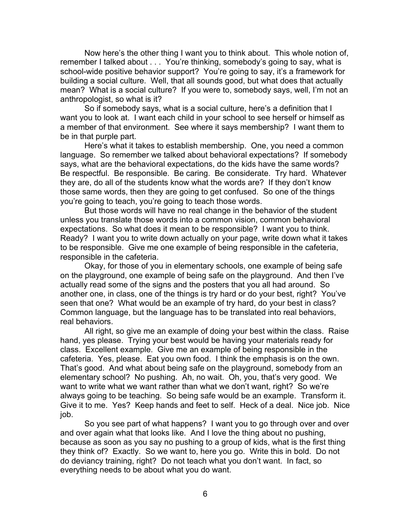Now here's the other thing I want you to think about. This whole notion of, remember I talked about . . . You're thinking, somebody's going to say, what is school-wide positive behavior support? You're going to say, it's a framework for building a social culture. Well, that all sounds good, but what does that actually mean? What is a social culture? If you were to, somebody says, well, I'm not an anthropologist, so what is it?

So if somebody says, what is a social culture, here's a definition that I want you to look at. I want each child in your school to see herself or himself as a member of that environment. See where it says membership? I want them to be in that purple part.

Here's what it takes to establish membership. One, you need a common language. So remember we talked about behavioral expectations? If somebody says, what are the behavioral expectations, do the kids have the same words? Be respectful. Be responsible. Be caring. Be considerate. Try hard. Whatever they are, do all of the students know what the words are? If they don't know those same words, then they are going to get confused. So one of the things you're going to teach, you're going to teach those words.

But those words will have no real change in the behavior of the student unless you translate those words into a common vision, common behavioral expectations. So what does it mean to be responsible? I want you to think. Ready? I want you to write down actually on your page, write down what it takes to be responsible. Give me one example of being responsible in the cafeteria, responsible in the cafeteria.

Okay, for those of you in elementary schools, one example of being safe on the playground, one example of being safe on the playground. And then I've actually read some of the signs and the posters that you all had around. So another one, in class, one of the things is try hard or do your best, right? You've seen that one? What would be an example of try hard, do your best in class? Common language, but the language has to be translated into real behaviors, real behaviors.

All right, so give me an example of doing your best within the class. Raise hand, yes please. Trying your best would be having your materials ready for class. Excellent example. Give me an example of being responsible in the cafeteria. Yes, please. Eat you own food. I think the emphasis is on the own. That's good. And what about being safe on the playground, somebody from an elementary school? No pushing. Ah, no wait. Oh, you, that's very good. We want to write what we want rather than what we don't want, right? So we're always going to be teaching. So being safe would be an example. Transform it. Give it to me. Yes? Keep hands and feet to self. Heck of a deal. Nice job. Nice job.

So you see part of what happens? I want you to go through over and over and over again what that looks like. And I love the thing about no pushing, because as soon as you say no pushing to a group of kids, what is the first thing they think of? Exactly. So we want to, here you go. Write this in bold. Do not do deviancy training, right? Do not teach what you don't want. In fact, so everything needs to be about what you do want.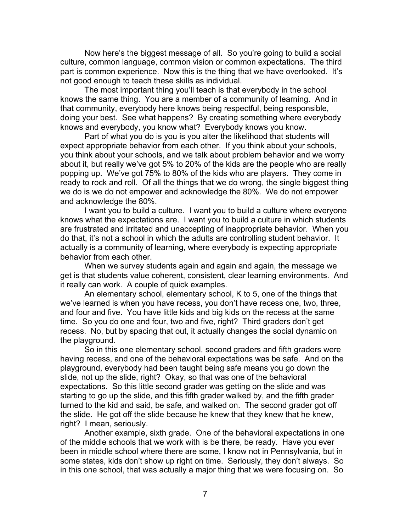Now here's the biggest message of all. So you're going to build a social culture, common language, common vision or common expectations. The third part is common experience. Now this is the thing that we have overlooked. It's not good enough to teach these skills as individual.

The most important thing you'll teach is that everybody in the school knows the same thing. You are a member of a community of learning. And in that community, everybody here knows being respectful, being responsible, doing your best. See what happens? By creating something where everybody knows and everybody, you know what? Everybody knows you know.

Part of what you do is you is you alter the likelihood that students will expect appropriate behavior from each other. If you think about your schools, you think about your schools, and we talk about problem behavior and we worry about it, but really we've got 5% to 20% of the kids are the people who are really popping up. We've got 75% to 80% of the kids who are players. They come in ready to rock and roll. Of all the things that we do wrong, the single biggest thing we do is we do not empower and acknowledge the 80%. We do not empower and acknowledge the 80%.

I want you to build a culture. I want you to build a culture where everyone knows what the expectations are. I want you to build a culture in which students are frustrated and irritated and unaccepting of inappropriate behavior. When you do that, it's not a school in which the adults are controlling student behavior. It actually is a community of learning, where everybody is expecting appropriate behavior from each other.

When we survey students again and again and again, the message we get is that students value coherent, consistent, clear learning environments. And it really can work. A couple of quick examples.

An elementary school, elementary school, K to 5, one of the things that we've learned is when you have recess, you don't have recess one, two, three, and four and five. You have little kids and big kids on the recess at the same time. So you do one and four, two and five, right? Third graders don't get recess. No, but by spacing that out, it actually changes the social dynamic on the playground.

So in this one elementary school, second graders and fifth graders were having recess, and one of the behavioral expectations was be safe. And on the playground, everybody had been taught being safe means you go down the slide, not up the slide, right? Okay, so that was one of the behavioral expectations. So this little second grader was getting on the slide and was starting to go up the slide, and this fifth grader walked by, and the fifth grader turned to the kid and said, be safe, and walked on. The second grader got off the slide. He got off the slide because he knew that they knew that he knew, right? I mean, seriously.

Another example, sixth grade. One of the behavioral expectations in one of the middle schools that we work with is be there, be ready. Have you ever been in middle school where there are some, I know not in Pennsylvania, but in some states, kids don't show up right on time. Seriously, they don't always. So in this one school, that was actually a major thing that we were focusing on. So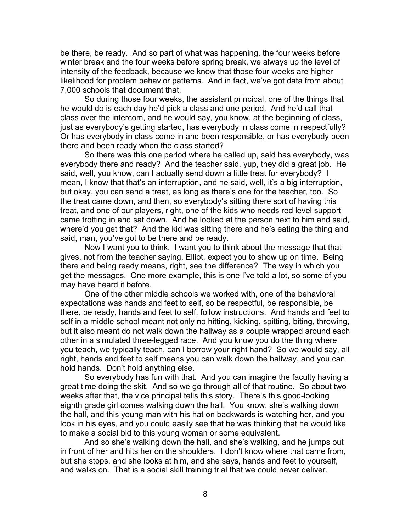be there, be ready. And so part of what was happening, the four weeks before winter break and the four weeks before spring break, we always up the level of intensity of the feedback, because we know that those four weeks are higher likelihood for problem behavior patterns. And in fact, we've got data from about 7,000 schools that document that.

So during those four weeks, the assistant principal, one of the things that he would do is each day he'd pick a class and one period. And he'd call that class over the intercom, and he would say, you know, at the beginning of class, just as everybody's getting started, has everybody in class come in respectfully? Or has everybody in class come in and been responsible, or has everybody been there and been ready when the class started?

So there was this one period where he called up, said has everybody, was everybody there and ready? And the teacher said, yup, they did a great job. He said, well, you know, can I actually send down a little treat for everybody? I mean, I know that that's an interruption, and he said, well, it's a big interruption, but okay, you can send a treat, as long as there's one for the teacher, too. So the treat came down, and then, so everybody's sitting there sort of having this treat, and one of our players, right, one of the kids who needs red level support came trotting in and sat down. And he looked at the person next to him and said, where'd you get that? And the kid was sitting there and he's eating the thing and said, man, you've got to be there and be ready.

Now I want you to think. I want you to think about the message that that gives, not from the teacher saying, Elliot, expect you to show up on time. Being there and being ready means, right, see the difference? The way in which you get the messages. One more example, this is one I've told a lot, so some of you may have heard it before.

One of the other middle schools we worked with, one of the behavioral expectations was hands and feet to self, so be respectful, be responsible, be there, be ready, hands and feet to self, follow instructions. And hands and feet to self in a middle school meant not only no hitting, kicking, spitting, biting, throwing, but it also meant do not walk down the hallway as a couple wrapped around each other in a simulated three-legged race. And you know you do the thing where you teach, we typically teach, can I borrow your right hand? So we would say, all right, hands and feet to self means you can walk down the hallway, and you can hold hands. Don't hold anything else.

So everybody has fun with that. And you can imagine the faculty having a great time doing the skit. And so we go through all of that routine. So about two weeks after that, the vice principal tells this story. There's this good-looking eighth grade girl comes walking down the hall. You know, she's walking down the hall, and this young man with his hat on backwards is watching her, and you look in his eyes, and you could easily see that he was thinking that he would like to make a social bid to this young woman or some equivalent.

And so she's walking down the hall, and she's walking, and he jumps out in front of her and hits her on the shoulders. I don't know where that came from, but she stops, and she looks at him, and she says, hands and feet to yourself, and walks on. That is a social skill training trial that we could never deliver.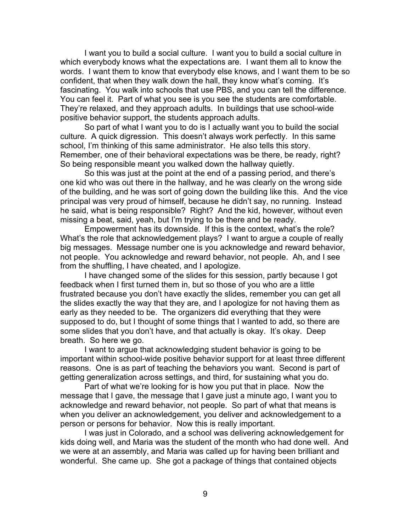I want you to build a social culture. I want you to build a social culture in which everybody knows what the expectations are. I want them all to know the words. I want them to know that everybody else knows, and I want them to be so confident, that when they walk down the hall, they know what's coming. It's fascinating. You walk into schools that use PBS, and you can tell the difference. You can feel it. Part of what you see is you see the students are comfortable. They're relaxed, and they approach adults. In buildings that use school-wide positive behavior support, the students approach adults.

So part of what I want you to do is I actually want you to build the social culture. A quick digression. This doesn't always work perfectly. In this same school, I'm thinking of this same administrator. He also tells this story. Remember, one of their behavioral expectations was be there, be ready, right? So being responsible meant you walked down the hallway quietly.

So this was just at the point at the end of a passing period, and there's one kid who was out there in the hallway, and he was clearly on the wrong side of the building, and he was sort of going down the building like this. And the vice principal was very proud of himself, because he didn't say, no running. Instead he said, what is being responsible? Right? And the kid, however, without even missing a beat, said, yeah, but I'm trying to be there and be ready.

Empowerment has its downside. If this is the context, what's the role? What's the role that acknowledgement plays? I want to argue a couple of really big messages. Message number one is you acknowledge and reward behavior, not people. You acknowledge and reward behavior, not people. Ah, and I see from the shuffling, I have cheated, and I apologize.

I have changed some of the slides for this session, partly because I got feedback when I first turned them in, but so those of you who are a little frustrated because you don't have exactly the slides, remember you can get all the slides exactly the way that they are, and I apologize for not having them as early as they needed to be. The organizers did everything that they were supposed to do, but I thought of some things that I wanted to add, so there are some slides that you don't have, and that actually is okay. It's okay. Deep breath. So here we go.

I want to argue that acknowledging student behavior is going to be important within school-wide positive behavior support for at least three different reasons. One is as part of teaching the behaviors you want. Second is part of getting generalization across settings, and third, for sustaining what you do.

Part of what we're looking for is how you put that in place. Now the message that I gave, the message that I gave just a minute ago, I want you to acknowledge and reward behavior, not people. So part of what that means is when you deliver an acknowledgement, you deliver and acknowledgement to a person or persons for behavior. Now this is really important.

I was just in Colorado, and a school was delivering acknowledgement for kids doing well, and Maria was the student of the month who had done well. And we were at an assembly, and Maria was called up for having been brilliant and wonderful. She came up. She got a package of things that contained objects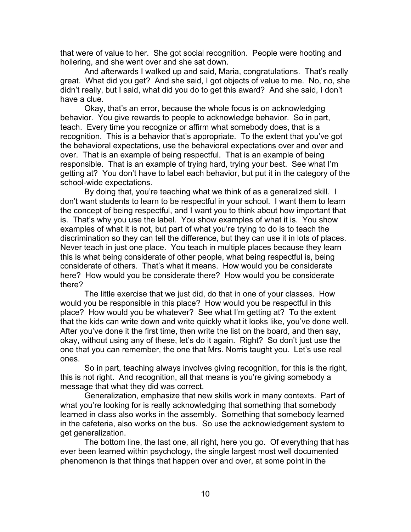that were of value to her. She got social recognition. People were hooting and hollering, and she went over and she sat down.

And afterwards I walked up and said, Maria, congratulations. That's really great. What did you get? And she said, I got objects of value to me. No, no, she didn't really, but I said, what did you do to get this award? And she said, I don't have a clue.

Okay, that's an error, because the whole focus is on acknowledging behavior. You give rewards to people to acknowledge behavior. So in part, teach. Every time you recognize or affirm what somebody does, that is a recognition. This is a behavior that's appropriate. To the extent that you've got the behavioral expectations, use the behavioral expectations over and over and over. That is an example of being respectful. That is an example of being responsible. That is an example of trying hard, trying your best. See what I'm getting at? You don't have to label each behavior, but put it in the category of the school-wide expectations.

By doing that, you're teaching what we think of as a generalized skill. I don't want students to learn to be respectful in your school. I want them to learn the concept of being respectful, and I want you to think about how important that is. That's why you use the label. You show examples of what it is. You show examples of what it is not, but part of what you're trying to do is to teach the discrimination so they can tell the difference, but they can use it in lots of places. Never teach in just one place. You teach in multiple places because they learn this is what being considerate of other people, what being respectful is, being considerate of others. That's what it means. How would you be considerate here? How would you be considerate there? How would you be considerate there?

The little exercise that we just did, do that in one of your classes. How would you be responsible in this place? How would you be respectful in this place? How would you be whatever? See what I'm getting at? To the extent that the kids can write down and write quickly what it looks like, you've done well. After you've done it the first time, then write the list on the board, and then say, okay, without using any of these, let's do it again. Right? So don't just use the one that you can remember, the one that Mrs. Norris taught you. Let's use real ones.

So in part, teaching always involves giving recognition, for this is the right, this is not right. And recognition, all that means is you're giving somebody a message that what they did was correct.

Generalization, emphasize that new skills work in many contexts. Part of what you're looking for is really acknowledging that something that somebody learned in class also works in the assembly. Something that somebody learned in the cafeteria, also works on the bus. So use the acknowledgement system to get generalization.

The bottom line, the last one, all right, here you go. Of everything that has ever been learned within psychology, the single largest most well documented phenomenon is that things that happen over and over, at some point in the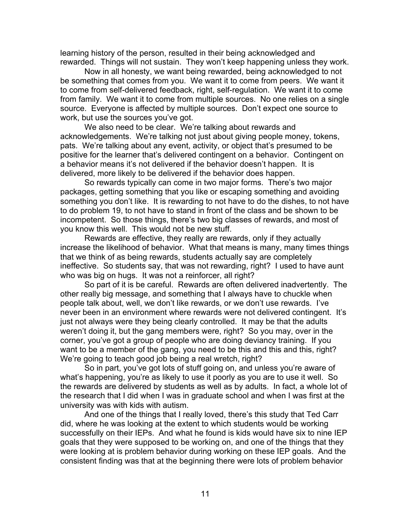learning history of the person, resulted in their being acknowledged and rewarded. Things will not sustain. They won't keep happening unless they work.

Now in all honesty, we want being rewarded, being acknowledged to not be something that comes from you. We want it to come from peers. We want it to come from self-delivered feedback, right, self-regulation. We want it to come from family. We want it to come from multiple sources. No one relies on a single source. Everyone is affected by multiple sources. Don't expect one source to work, but use the sources you've got.

We also need to be clear. We're talking about rewards and acknowledgements. We're talking not just about giving people money, tokens, pats. We're talking about any event, activity, or object that's presumed to be positive for the learner that's delivered contingent on a behavior. Contingent on a behavior means it's not delivered if the behavior doesn't happen. It is delivered, more likely to be delivered if the behavior does happen.

So rewards typically can come in two major forms. There's two major packages, getting something that you like or escaping something and avoiding something you don't like. It is rewarding to not have to do the dishes, to not have to do problem 19, to not have to stand in front of the class and be shown to be incompetent. So those things, there's two big classes of rewards, and most of you know this well. This would not be new stuff.

Rewards are effective, they really are rewards, only if they actually increase the likelihood of behavior. What that means is many, many times things that we think of as being rewards, students actually say are completely ineffective. So students say, that was not rewarding, right? I used to have aunt who was big on hugs. It was not a reinforcer, all right?

So part of it is be careful. Rewards are often delivered inadvertently. The other really big message, and something that I always have to chuckle when people talk about, well, we don't like rewards, or we don't use rewards. I've never been in an environment where rewards were not delivered contingent. It's just not always were they being clearly controlled. It may be that the adults weren't doing it, but the gang members were, right? So you may, over in the corner, you've got a group of people who are doing deviancy training. If you want to be a member of the gang, you need to be this and this and this, right? We're going to teach good job being a real wretch, right?

So in part, you've got lots of stuff going on, and unless you're aware of what's happening, you're as likely to use it poorly as you are to use it well. So the rewards are delivered by students as well as by adults. In fact, a whole lot of the research that I did when I was in graduate school and when I was first at the university was with kids with autism.

And one of the things that I really loved, there's this study that Ted Carr did, where he was looking at the extent to which students would be working successfully on their IEPs. And what he found is kids would have six to nine IEP goals that they were supposed to be working on, and one of the things that they were looking at is problem behavior during working on these IEP goals. And the consistent finding was that at the beginning there were lots of problem behavior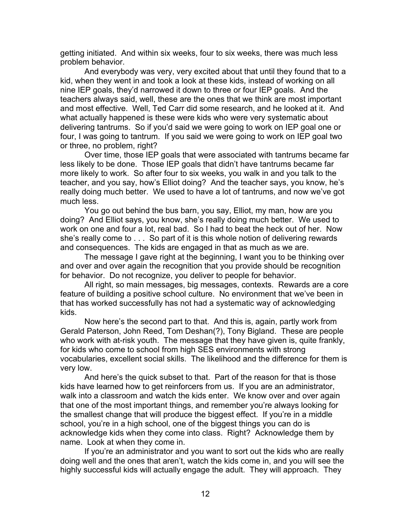getting initiated. And within six weeks, four to six weeks, there was much less problem behavior.

And everybody was very, very excited about that until they found that to a kid, when they went in and took a look at these kids, instead of working on all nine IEP goals, they'd narrowed it down to three or four IEP goals. And the teachers always said, well, these are the ones that we think are most important and most effective. Well, Ted Carr did some research, and he looked at it. And what actually happened is these were kids who were very systematic about delivering tantrums. So if you'd said we were going to work on IEP goal one or four, I was going to tantrum. If you said we were going to work on IEP goal two or three, no problem, right?

Over time, those IEP goals that were associated with tantrums became far less likely to be done. Those IEP goals that didn't have tantrums became far more likely to work. So after four to six weeks, you walk in and you talk to the teacher, and you say, how's Elliot doing? And the teacher says, you know, he's really doing much better. We used to have a lot of tantrums, and now we've got much less.

You go out behind the bus barn, you say, Elliot, my man, how are you doing? And Elliot says, you know, she's really doing much better. We used to work on one and four a lot, real bad. So I had to beat the heck out of her. Now she's really come to . . . So part of it is this whole notion of delivering rewards and consequences. The kids are engaged in that as much as we are.

The message I gave right at the beginning, I want you to be thinking over and over and over again the recognition that you provide should be recognition for behavior. Do not recognize, you deliver to people for behavior.

All right, so main messages, big messages, contexts. Rewards are a core feature of building a positive school culture. No environment that we've been in that has worked successfully has not had a systematic way of acknowledging kids.

Now here's the second part to that. And this is, again, partly work from Gerald Paterson, John Reed, Tom Deshan(?), Tony Bigland. These are people who work with at-risk youth. The message that they have given is, quite frankly, for kids who come to school from high SES environments with strong vocabularies, excellent social skills. The likelihood and the difference for them is very low.

And here's the quick subset to that. Part of the reason for that is those kids have learned how to get reinforcers from us. If you are an administrator, walk into a classroom and watch the kids enter. We know over and over again that one of the most important things, and remember you're always looking for the smallest change that will produce the biggest effect. If you're in a middle school, you're in a high school, one of the biggest things you can do is acknowledge kids when they come into class. Right? Acknowledge them by name. Look at when they come in.

If you're an administrator and you want to sort out the kids who are really doing well and the ones that aren't, watch the kids come in, and you will see the highly successful kids will actually engage the adult. They will approach. They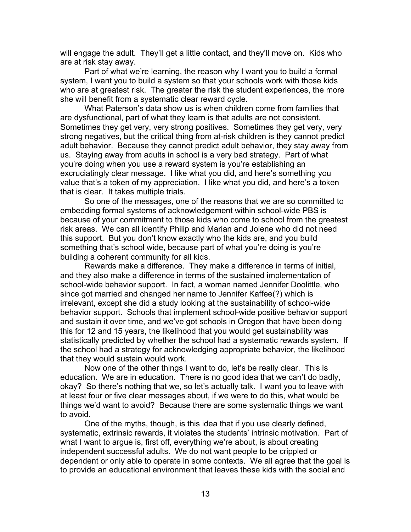will engage the adult. They'll get a little contact, and they'll move on. Kids who are at risk stay away.

Part of what we're learning, the reason why I want you to build a formal system, I want you to build a system so that your schools work with those kids who are at greatest risk. The greater the risk the student experiences, the more she will benefit from a systematic clear reward cycle.

What Paterson's data show us is when children come from families that are dysfunctional, part of what they learn is that adults are not consistent. Sometimes they get very, very strong positives. Sometimes they get very, very strong negatives, but the critical thing from at-risk children is they cannot predict adult behavior. Because they cannot predict adult behavior, they stay away from us. Staying away from adults in school is a very bad strategy. Part of what you're doing when you use a reward system is you're establishing an excruciatingly clear message. I like what you did, and here's something you value that's a token of my appreciation. I like what you did, and here's a token that is clear. It takes multiple trials.

So one of the messages, one of the reasons that we are so committed to embedding formal systems of acknowledgement within school-wide PBS is because of your commitment to those kids who come to school from the greatest risk areas. We can all identify Philip and Marian and Jolene who did not need this support. But you don't know exactly who the kids are, and you build something that's school wide, because part of what you're doing is you're building a coherent community for all kids.

Rewards make a difference. They make a difference in terms of initial, and they also make a difference in terms of the sustained implementation of school-wide behavior support. In fact, a woman named Jennifer Doolittle, who since got married and changed her name to Jennifer Kaffee(?) which is irrelevant, except she did a study looking at the sustainability of school-wide behavior support. Schools that implement school-wide positive behavior support and sustain it over time, and we've got schools in Oregon that have been doing this for 12 and 15 years, the likelihood that you would get sustainability was statistically predicted by whether the school had a systematic rewards system. If the school had a strategy for acknowledging appropriate behavior, the likelihood that they would sustain would work.

Now one of the other things I want to do, let's be really clear. This is education. We are in education. There is no good idea that we can't do badly, okay? So there's nothing that we, so let's actually talk. I want you to leave with at least four or five clear messages about, if we were to do this, what would be things we'd want to avoid? Because there are some systematic things we want to avoid.

One of the myths, though, is this idea that if you use clearly defined, systematic, extrinsic rewards, it violates the students' intrinsic motivation. Part of what I want to argue is, first off, everything we're about, is about creating independent successful adults. We do not want people to be crippled or dependent or only able to operate in some contexts. We all agree that the goal is to provide an educational environment that leaves these kids with the social and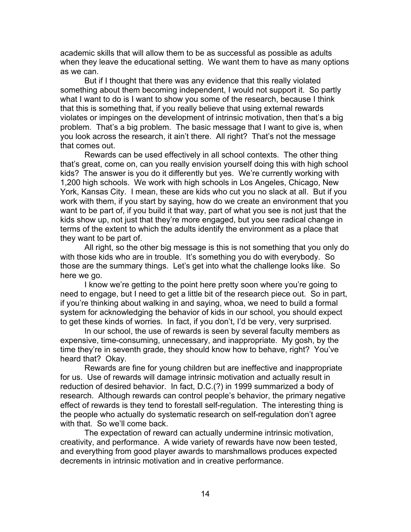academic skills that will allow them to be as successful as possible as adults when they leave the educational setting. We want them to have as many options as we can.

But if I thought that there was any evidence that this really violated something about them becoming independent, I would not support it. So partly what I want to do is I want to show you some of the research, because I think that this is something that, if you really believe that using external rewards violates or impinges on the development of intrinsic motivation, then that's a big problem. That's a big problem. The basic message that I want to give is, when you look across the research, it ain't there. All right? That's not the message that comes out.

Rewards can be used effectively in all school contexts. The other thing that's great, come on, can you really envision yourself doing this with high school kids? The answer is you do it differently but yes. We're currently working with 1,200 high schools. We work with high schools in Los Angeles, Chicago, New York, Kansas City. I mean, these are kids who cut you no slack at all. But if you work with them, if you start by saying, how do we create an environment that you want to be part of, if you build it that way, part of what you see is not just that the kids show up, not just that they're more engaged, but you see radical change in terms of the extent to which the adults identify the environment as a place that they want to be part of.

All right, so the other big message is this is not something that you only do with those kids who are in trouble. It's something you do with everybody. So those are the summary things. Let's get into what the challenge looks like. So here we go.

I know we're getting to the point here pretty soon where you're going to need to engage, but I need to get a little bit of the research piece out. So in part, if you're thinking about walking in and saying, whoa, we need to build a formal system for acknowledging the behavior of kids in our school, you should expect to get these kinds of worries. In fact, if you don't, I'd be very, very surprised.

In our school, the use of rewards is seen by several faculty members as expensive, time-consuming, unnecessary, and inappropriate. My gosh, by the time they're in seventh grade, they should know how to behave, right? You've heard that? Okay.

Rewards are fine for young children but are ineffective and inappropriate for us. Use of rewards will damage intrinsic motivation and actually result in reduction of desired behavior. In fact, D.C.(?) in 1999 summarized a body of research. Although rewards can control people's behavior, the primary negative effect of rewards is they tend to forestall self-regulation. The interesting thing is the people who actually do systematic research on self-regulation don't agree with that. So we'll come back.

The expectation of reward can actually undermine intrinsic motivation, creativity, and performance. A wide variety of rewards have now been tested, and everything from good player awards to marshmallows produces expected decrements in intrinsic motivation and in creative performance.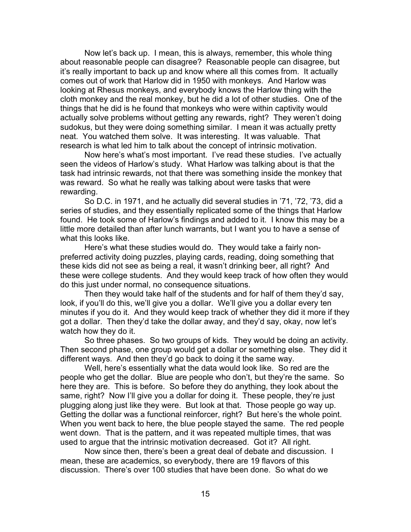Now let's back up. I mean, this is always, remember, this whole thing about reasonable people can disagree? Reasonable people can disagree, but it's really important to back up and know where all this comes from. It actually comes out of work that Harlow did in 1950 with monkeys. And Harlow was looking at Rhesus monkeys, and everybody knows the Harlow thing with the cloth monkey and the real monkey, but he did a lot of other studies. One of the things that he did is he found that monkeys who were within captivity would actually solve problems without getting any rewards, right? They weren't doing sudokus, but they were doing something similar. I mean it was actually pretty neat. You watched them solve. It was interesting. It was valuable. That research is what led him to talk about the concept of intrinsic motivation.

Now here's what's most important. I've read these studies. I've actually seen the videos of Harlow's study. What Harlow was talking about is that the task had intrinsic rewards, not that there was something inside the monkey that was reward. So what he really was talking about were tasks that were rewarding.

So D.C. in 1971, and he actually did several studies in '71, '72, '73, did a series of studies, and they essentially replicated some of the things that Harlow found. He took some of Harlow's findings and added to it. I know this may be a little more detailed than after lunch warrants, but I want you to have a sense of what this looks like.

Here's what these studies would do. They would take a fairly nonpreferred activity doing puzzles, playing cards, reading, doing something that these kids did not see as being a real, it wasn't drinking beer, all right? And these were college students. And they would keep track of how often they would do this just under normal, no consequence situations.

Then they would take half of the students and for half of them they'd say, look, if you'll do this, we'll give you a dollar. We'll give you a dollar every ten minutes if you do it. And they would keep track of whether they did it more if they got a dollar. Then they'd take the dollar away, and they'd say, okay, now let's watch how they do it.

So three phases. So two groups of kids. They would be doing an activity. Then second phase, one group would get a dollar or something else. They did it different ways. And then they'd go back to doing it the same way.

Well, here's essentially what the data would look like. So red are the people who get the dollar. Blue are people who don't, but they're the same. So here they are. This is before. So before they do anything, they look about the same, right? Now I'll give you a dollar for doing it. These people, they're just plugging along just like they were. But look at that. Those people go way up. Getting the dollar was a functional reinforcer, right? But here's the whole point. When you went back to here, the blue people stayed the same. The red people went down. That is the pattern, and it was repeated multiple times, that was used to argue that the intrinsic motivation decreased. Got it? All right.

Now since then, there's been a great deal of debate and discussion. I mean, these are academics, so everybody, there are 19 flavors of this discussion. There's over 100 studies that have been done. So what do we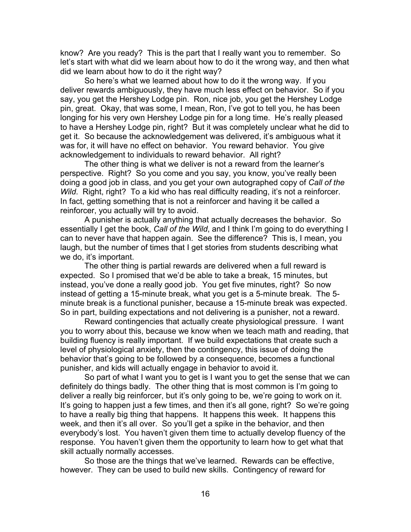know? Are you ready? This is the part that I really want you to remember. So let's start with what did we learn about how to do it the wrong way, and then what did we learn about how to do it the right way?

So here's what we learned about how to do it the wrong way. If you deliver rewards ambiguously, they have much less effect on behavior. So if you say, you get the Hershey Lodge pin. Ron, nice job, you get the Hershey Lodge pin, great. Okay, that was some, I mean, Ron, I've got to tell you, he has been longing for his very own Hershey Lodge pin for a long time. He's really pleased to have a Hershey Lodge pin, right? But it was completely unclear what he did to get it. So because the acknowledgement was delivered, it's ambiguous what it was for, it will have no effect on behavior. You reward behavior. You give acknowledgement to individuals to reward behavior. All right?

The other thing is what we deliver is not a reward from the learner's perspective. Right? So you come and you say, you know, you've really been doing a good job in class, and you get your own autographed copy of *Call of the Wild.* Right, right? To a kid who has real difficulty reading, it's not a reinforcer. In fact, getting something that is not a reinforcer and having it be called a reinforcer, you actually will try to avoid.

A punisher is actually anything that actually decreases the behavior. So essentially I get the book, *Call of the Wild*, and I think I'm going to do everything I can to never have that happen again. See the difference? This is, I mean, you laugh, but the number of times that I get stories from students describing what we do, it's important.

The other thing is partial rewards are delivered when a full reward is expected. So I promised that we'd be able to take a break, 15 minutes, but instead, you've done a really good job. You get five minutes, right? So now instead of getting a 15-minute break, what you get is a 5-minute break. The 5 minute break is a functional punisher, because a 15-minute break was expected. So in part, building expectations and not delivering is a punisher, not a reward.

Reward contingencies that actually create physiological pressure. I want you to worry about this, because we know when we teach math and reading, that building fluency is really important. If we build expectations that create such a level of physiological anxiety, then the contingency, this issue of doing the behavior that's going to be followed by a consequence, becomes a functional punisher, and kids will actually engage in behavior to avoid it.

So part of what I want you to get is I want you to get the sense that we can definitely do things badly. The other thing that is most common is I'm going to deliver a really big reinforcer, but it's only going to be, we're going to work on it. It's going to happen just a few times, and then it's all gone, right? So we're going to have a really big thing that happens. It happens this week. It happens this week, and then it's all over. So you'll get a spike in the behavior, and then everybody's lost. You haven't given them time to actually develop fluency of the response. You haven't given them the opportunity to learn how to get what that skill actually normally accesses.

So those are the things that we've learned. Rewards can be effective, however. They can be used to build new skills. Contingency of reward for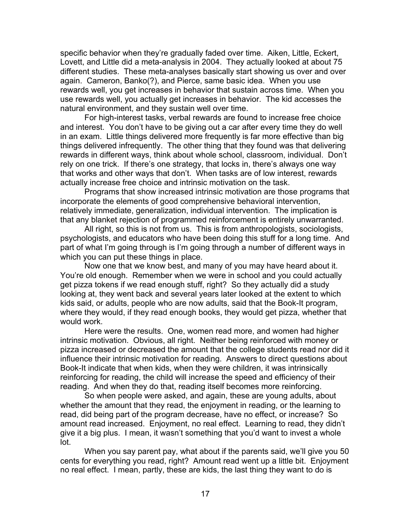specific behavior when they're gradually faded over time. Aiken, Little, Eckert, Lovett, and Little did a meta-analysis in 2004. They actually looked at about 75 different studies. These meta-analyses basically start showing us over and over again. Cameron, Banko(?), and Pierce, same basic idea. When you use rewards well, you get increases in behavior that sustain across time. When you use rewards well, you actually get increases in behavior. The kid accesses the natural environment, and they sustain well over time.

For high-interest tasks, verbal rewards are found to increase free choice and interest. You don't have to be giving out a car after every time they do well in an exam. Little things delivered more frequently is far more effective than big things delivered infrequently. The other thing that they found was that delivering rewards in different ways, think about whole school, classroom, individual. Don't rely on one trick. If there's one strategy, that locks in, there's always one way that works and other ways that don't. When tasks are of low interest, rewards actually increase free choice and intrinsic motivation on the task.

Programs that show increased intrinsic motivation are those programs that incorporate the elements of good comprehensive behavioral intervention, relatively immediate, generalization, individual intervention. The implication is that any blanket rejection of programmed reinforcement is entirely unwarranted.

All right, so this is not from us. This is from anthropologists, sociologists, psychologists, and educators who have been doing this stuff for a long time. And part of what I'm going through is I'm going through a number of different ways in which you can put these things in place.

Now one that we know best, and many of you may have heard about it. You're old enough. Remember when we were in school and you could actually get pizza tokens if we read enough stuff, right? So they actually did a study looking at, they went back and several years later looked at the extent to which kids said, or adults, people who are now adults, said that the Book-It program, where they would, if they read enough books, they would get pizza, whether that would work.

Here were the results. One, women read more, and women had higher intrinsic motivation. Obvious, all right. Neither being reinforced with money or pizza increased or decreased the amount that the college students read nor did it influence their intrinsic motivation for reading. Answers to direct questions about Book-It indicate that when kids, when they were children, it was intrinsically reinforcing for reading, the child will increase the speed and efficiency of their reading. And when they do that, reading itself becomes more reinforcing.

So when people were asked, and again, these are young adults, about whether the amount that they read, the enjoyment in reading, or the learning to read, did being part of the program decrease, have no effect, or increase? So amount read increased. Enjoyment, no real effect. Learning to read, they didn't give it a big plus. I mean, it wasn't something that you'd want to invest a whole lot.

When you say parent pay, what about if the parents said, we'll give you 50 cents for everything you read, right? Amount read went up a little bit. Enjoyment no real effect. I mean, partly, these are kids, the last thing they want to do is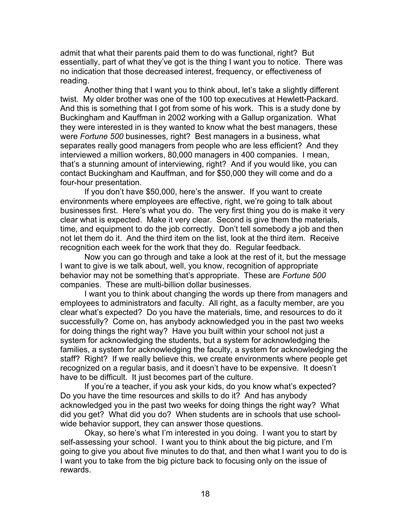admit that what their parents paid them to do was functional, right? But essentially, part of what they've got is the thing I want you to notice. There was no indication that those decreased interest, frequency, or effectiveness of reading.

Another thing that I want you to think about, let's take a slightly different twist. My older brother was one of the 100 top executives at Hewlett-Packard. And this is something that I got from some of his work. This is a study done by Buckingham and Kauffman in 2002 working with a Gallup organization. What they were interested in is they wanted to know what the best managers, these were *Fortune 500* businesses, right? Best managers in a business, what separates really good managers from people who are less efficient? And they interviewed a million workers, 80,000 managers in 400 companies. I mean, that's a stunning amount of interviewing, right? And if you would like, you can contact Buckingham and Kauffman, and for \$50,000 they will come and do a four-hour presentation.

If you don't have \$50,000, here's the answer. If you want to create environments where employees are effective, right, we're going to talk about businesses first. Here's what you do. The very first thing you do is make it very clear what is expected. Make it very clear. Second is give them the materials, time, and equipment to do the job correctly. Don't tell somebody a job and then not let them do it. And the third item on the list, look at the third item. Receive recognition each week for the work that they do. Regular feedback.

Now you can go through and take a look at the rest of it, but the message I want to give is we talk about, well, you know, recognition of appropriate behavior may not be something that's appropriate. These are *Fortune 500* companies. These are multi-billion dollar businesses.

I want you to think about changing the words up there from managers and employees to administrators and faculty. All right, as a faculty member, are you clear what's expected? Do you have the materials, time, and resources to do it successfully? Come on, has anybody acknowledged you in the past two weeks for doing things the right way? Have you built within your school not just a system for acknowledging the students, but a system for acknowledging the families, a system for acknowledging the faculty, a system for acknowledging the staff? Right? If we really believe this, we create environments where people get recognized on a regular basis, and it doesn't have to be expensive. It doesn't have to be difficult. It just becomes part of the culture.

If you're a teacher, if you ask your kids, do you know what's expected? Do you have the time resources and skills to do it? And has anybody acknowledged you in the past two weeks for doing things the right way? What did you get? What did you do? When students are in schools that use schoolwide behavior support, they can answer those questions.

Okay, so here's what I'm interested in you doing. I want you to start by self-assessing your school. I want you to think about the big picture, and I'm going to give you about five minutes to do that, and then what I want you to do is I want you to take from the big picture back to focusing only on the issue of rewards.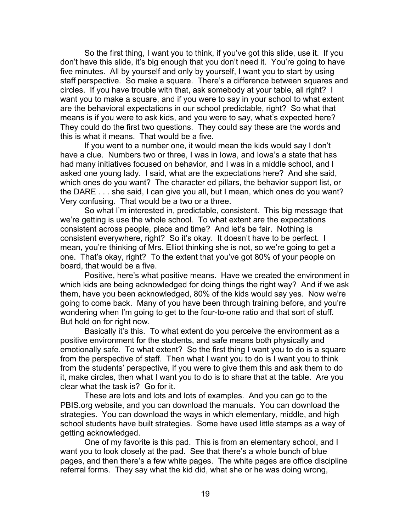So the first thing, I want you to think, if you've got this slide, use it. If you don't have this slide, it's big enough that you don't need it. You're going to have five minutes. All by yourself and only by yourself, I want you to start by using staff perspective. So make a square. There's a difference between squares and circles. If you have trouble with that, ask somebody at your table, all right? I want you to make a square, and if you were to say in your school to what extent are the behavioral expectations in our school predictable, right? So what that means is if you were to ask kids, and you were to say, what's expected here? They could do the first two questions. They could say these are the words and this is what it means. That would be a five.

If you went to a number one, it would mean the kids would say I don't have a clue. Numbers two or three, I was in Iowa, and Iowa's a state that has had many initiatives focused on behavior, and I was in a middle school, and I asked one young lady. I said, what are the expectations here? And she said, which ones do you want? The character ed pillars, the behavior support list, or the DARE . . . she said, I can give you all, but I mean, which ones do you want? Very confusing. That would be a two or a three.

So what I'm interested in, predictable, consistent. This big message that we're getting is use the whole school. To what extent are the expectations consistent across people, place and time? And let's be fair. Nothing is consistent everywhere, right? So it's okay. It doesn't have to be perfect. I mean, you're thinking of Mrs. Elliot thinking she is not, so we're going to get a one. That's okay, right? To the extent that you've got 80% of your people on board, that would be a five.

Positive, here's what positive means. Have we created the environment in which kids are being acknowledged for doing things the right way? And if we ask them, have you been acknowledged, 80% of the kids would say yes. Now we're going to come back. Many of you have been through training before, and you're wondering when I'm going to get to the four-to-one ratio and that sort of stuff. But hold on for right now.

Basically it's this. To what extent do you perceive the environment as a positive environment for the students, and safe means both physically and emotionally safe. To what extent? So the first thing I want you to do is a square from the perspective of staff. Then what I want you to do is I want you to think from the students' perspective, if you were to give them this and ask them to do it, make circles, then what I want you to do is to share that at the table. Are you clear what the task is? Go for it.

These are lots and lots and lots of examples. And you can go to the PBIS.org website, and you can download the manuals. You can download the strategies. You can download the ways in which elementary, middle, and high school students have built strategies. Some have used little stamps as a way of getting acknowledged.

One of my favorite is this pad. This is from an elementary school, and I want you to look closely at the pad. See that there's a whole bunch of blue pages, and then there's a few white pages. The white pages are office discipline referral forms. They say what the kid did, what she or he was doing wrong,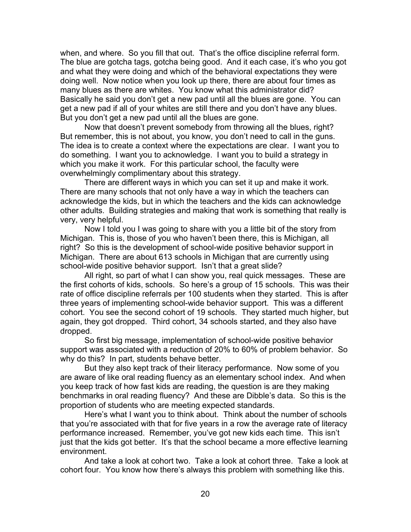when, and where. So you fill that out. That's the office discipline referral form. The blue are gotcha tags, gotcha being good. And it each case, it's who you got and what they were doing and which of the behavioral expectations they were doing well. Now notice when you look up there, there are about four times as many blues as there are whites. You know what this administrator did? Basically he said you don't get a new pad until all the blues are gone. You can get a new pad if all of your whites are still there and you don't have any blues. But you don't get a new pad until all the blues are gone.

Now that doesn't prevent somebody from throwing all the blues, right? But remember, this is not about, you know, you don't need to call in the guns. The idea is to create a context where the expectations are clear. I want you to do something. I want you to acknowledge. I want you to build a strategy in which you make it work. For this particular school, the faculty were overwhelmingly complimentary about this strategy.

There are different ways in which you can set it up and make it work. There are many schools that not only have a way in which the teachers can acknowledge the kids, but in which the teachers and the kids can acknowledge other adults. Building strategies and making that work is something that really is very, very helpful.

Now I told you I was going to share with you a little bit of the story from Michigan. This is, those of you who haven't been there, this is Michigan, all right? So this is the development of school-wide positive behavior support in Michigan. There are about 613 schools in Michigan that are currently using school-wide positive behavior support. Isn't that a great slide?

All right, so part of what I can show you, real quick messages. These are the first cohorts of kids, schools. So here's a group of 15 schools. This was their rate of office discipline referrals per 100 students when they started. This is after three years of implementing school-wide behavior support. This was a different cohort. You see the second cohort of 19 schools. They started much higher, but again, they got dropped. Third cohort, 34 schools started, and they also have dropped.

So first big message, implementation of school-wide positive behavior support was associated with a reduction of 20% to 60% of problem behavior. So why do this? In part, students behave better.

But they also kept track of their literacy performance. Now some of you are aware of like oral reading fluency as an elementary school index. And when you keep track of how fast kids are reading, the question is are they making benchmarks in oral reading fluency? And these are Dibble's data. So this is the proportion of students who are meeting expected standards.

Here's what I want you to think about. Think about the number of schools that you're associated with that for five years in a row the average rate of literacy performance increased. Remember, you've got new kids each time. This isn't just that the kids got better. It's that the school became a more effective learning environment.

And take a look at cohort two. Take a look at cohort three. Take a look at cohort four. You know how there's always this problem with something like this.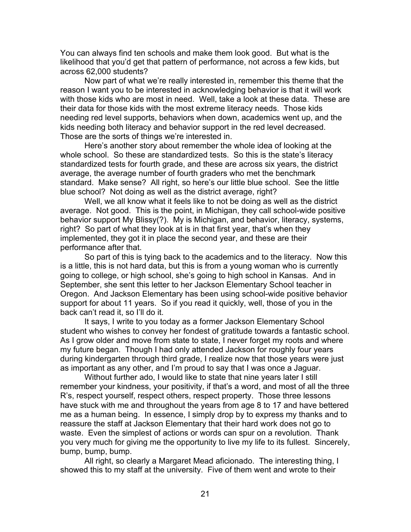You can always find ten schools and make them look good. But what is the likelihood that you'd get that pattern of performance, not across a few kids, but across 62,000 students?

Now part of what we're really interested in, remember this theme that the reason I want you to be interested in acknowledging behavior is that it will work with those kids who are most in need. Well, take a look at these data. These are their data for those kids with the most extreme literacy needs. Those kids needing red level supports, behaviors when down, academics went up, and the kids needing both literacy and behavior support in the red level decreased. Those are the sorts of things we're interested in.

Here's another story about remember the whole idea of looking at the whole school. So these are standardized tests. So this is the state's literacy standardized tests for fourth grade, and these are across six years, the district average, the average number of fourth graders who met the benchmark standard. Make sense? All right, so here's our little blue school. See the little blue school? Not doing as well as the district average, right?

Well, we all know what it feels like to not be doing as well as the district average. Not good. This is the point, in Michigan, they call school-wide positive behavior support My Blissy(?). My is Michigan, and behavior, literacy, systems, right? So part of what they look at is in that first year, that's when they implemented, they got it in place the second year, and these are their performance after that.

So part of this is tying back to the academics and to the literacy. Now this is a little, this is not hard data, but this is from a young woman who is currently going to college, or high school, she's going to high school in Kansas. And in September, she sent this letter to her Jackson Elementary School teacher in Oregon. And Jackson Elementary has been using school-wide positive behavior support for about 11 years. So if you read it quickly, well, those of you in the back can't read it, so I'll do it.

It says, I write to you today as a former Jackson Elementary School student who wishes to convey her fondest of gratitude towards a fantastic school. As I grow older and move from state to state, I never forget my roots and where my future began. Though I had only attended Jackson for roughly four years during kindergarten through third grade, I realize now that those years were just as important as any other, and I'm proud to say that I was once a Jaguar.

Without further ado, I would like to state that nine years later I still remember your kindness, your positivity, if that's a word, and most of all the three R's, respect yourself, respect others, respect property. Those three lessons have stuck with me and throughout the years from age 8 to 17 and have bettered me as a human being. In essence, I simply drop by to express my thanks and to reassure the staff at Jackson Elementary that their hard work does not go to waste. Even the simplest of actions or words can spur on a revolution. Thank you very much for giving me the opportunity to live my life to its fullest. Sincerely, bump, bump, bump.

All right, so clearly a Margaret Mead aficionado. The interesting thing, I showed this to my staff at the university. Five of them went and wrote to their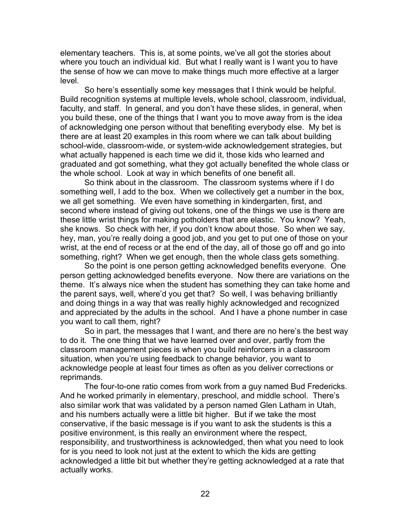elementary teachers. This is, at some points, we've all got the stories about where you touch an individual kid. But what I really want is I want you to have the sense of how we can move to make things much more effective at a larger level.

So here's essentially some key messages that I think would be helpful. Build recognition systems at multiple levels, whole school, classroom, individual, faculty, and staff. In general, and you don't have these slides, in general, when you build these, one of the things that I want you to move away from is the idea of acknowledging one person without that benefiting everybody else. My bet is there are at least 20 examples in this room where we can talk about building school-wide, classroom-wide, or system-wide acknowledgement strategies, but what actually happened is each time we did it, those kids who learned and graduated and got something, what they got actually benefited the whole class or the whole school. Look at way in which benefits of one benefit all.

So think about in the classroom. The classroom systems where if I do something well, I add to the box. When we collectively get a number in the box, we all get something. We even have something in kindergarten, first, and second where instead of giving out tokens, one of the things we use is there are these little wrist things for making potholders that are elastic. You know? Yeah, she knows. So check with her, if you don't know about those. So when we say, hey, man, you're really doing a good job, and you get to put one of those on your wrist, at the end of recess or at the end of the day, all of those go off and go into something, right? When we get enough, then the whole class gets something.

So the point is one person getting acknowledged benefits everyone. One person getting acknowledged benefits everyone. Now there are variations on the theme. It's always nice when the student has something they can take home and the parent says, well, where'd you get that? So well, I was behaving brilliantly and doing things in a way that was really highly acknowledged and recognized and appreciated by the adults in the school. And I have a phone number in case you want to call them, right?

So in part, the messages that I want, and there are no here's the best way to do it. The one thing that we have learned over and over, partly from the classroom management pieces is when you build reinforcers in a classroom situation, when you're using feedback to change behavior, you want to acknowledge people at least four times as often as you deliver corrections or reprimands.

The four-to-one ratio comes from work from a guy named Bud Fredericks. And he worked primarily in elementary, preschool, and middle school. There's also similar work that was validated by a person named Glen Latham in Utah, and his numbers actually were a little bit higher. But if we take the most conservative, if the basic message is if you want to ask the students is this a positive environment, is this really an environment where the respect, responsibility, and trustworthiness is acknowledged, then what you need to look for is you need to look not just at the extent to which the kids are getting acknowledged a little bit but whether they're getting acknowledged at a rate that actually works.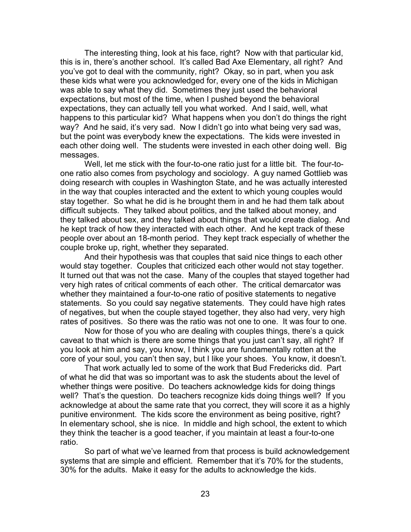The interesting thing, look at his face, right? Now with that particular kid, this is in, there's another school. It's called Bad Axe Elementary, all right? And you've got to deal with the community, right? Okay, so in part, when you ask these kids what were you acknowledged for, every one of the kids in Michigan was able to say what they did. Sometimes they just used the behavioral expectations, but most of the time, when I pushed beyond the behavioral expectations, they can actually tell you what worked. And I said, well, what happens to this particular kid? What happens when you don't do things the right way? And he said, it's very sad. Now I didn't go into what being very sad was, but the point was everybody knew the expectations. The kids were invested in each other doing well. The students were invested in each other doing well. Big messages.

Well, let me stick with the four-to-one ratio just for a little bit. The four-toone ratio also comes from psychology and sociology. A guy named Gottlieb was doing research with couples in Washington State, and he was actually interested in the way that couples interacted and the extent to which young couples would stay together. So what he did is he brought them in and he had them talk about difficult subjects. They talked about politics, and the talked about money, and they talked about sex, and they talked about things that would create dialog. And he kept track of how they interacted with each other. And he kept track of these people over about an 18-month period. They kept track especially of whether the couple broke up, right, whether they separated.

And their hypothesis was that couples that said nice things to each other would stay together. Couples that criticized each other would not stay together. It turned out that was not the case. Many of the couples that stayed together had very high rates of critical comments of each other. The critical demarcator was whether they maintained a four-to-one ratio of positive statements to negative statements. So you could say negative statements. They could have high rates of negatives, but when the couple stayed together, they also had very, very high rates of positives. So there was the ratio was not one to one. It was four to one.

Now for those of you who are dealing with couples things, there's a quick caveat to that which is there are some things that you just can't say, all right? If you look at him and say, you know, I think you are fundamentally rotten at the core of your soul, you can't then say, but I like your shoes. You know, it doesn't.

That work actually led to some of the work that Bud Fredericks did. Part of what he did that was so important was to ask the students about the level of whether things were positive. Do teachers acknowledge kids for doing things well? That's the question. Do teachers recognize kids doing things well? If you acknowledge at about the same rate that you correct, they will score it as a highly punitive environment. The kids score the environment as being positive, right? In elementary school, she is nice. In middle and high school, the extent to which they think the teacher is a good teacher, if you maintain at least a four-to-one ratio.

So part of what we've learned from that process is build acknowledgement systems that are simple and efficient. Remember that it's 70% for the students, 30% for the adults. Make it easy for the adults to acknowledge the kids.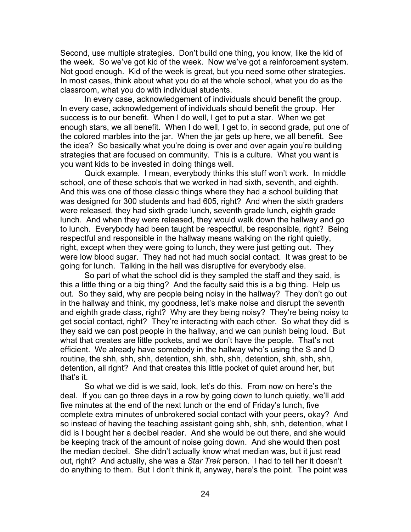Second, use multiple strategies. Don't build one thing, you know, like the kid of the week. So we've got kid of the week. Now we've got a reinforcement system. Not good enough. Kid of the week is great, but you need some other strategies. In most cases, think about what you do at the whole school, what you do as the classroom, what you do with individual students.

In every case, acknowledgement of individuals should benefit the group. In every case, acknowledgement of individuals should benefit the group. Her success is to our benefit. When I do well, I get to put a star. When we get enough stars, we all benefit. When I do well, I get to, in second grade, put one of the colored marbles into the jar. When the jar gets up here, we all benefit. See the idea? So basically what you're doing is over and over again you're building strategies that are focused on community. This is a culture. What you want is you want kids to be invested in doing things well.

Quick example. I mean, everybody thinks this stuff won't work. In middle school, one of these schools that we worked in had sixth, seventh, and eighth. And this was one of those classic things where they had a school building that was designed for 300 students and had 605, right? And when the sixth graders were released, they had sixth grade lunch, seventh grade lunch, eighth grade lunch. And when they were released, they would walk down the hallway and go to lunch. Everybody had been taught be respectful, be responsible, right? Being respectful and responsible in the hallway means walking on the right quietly, right, except when they were going to lunch, they were just getting out. They were low blood sugar. They had not had much social contact. It was great to be going for lunch. Talking in the hall was disruptive for everybody else.

So part of what the school did is they sampled the staff and they said, is this a little thing or a big thing? And the faculty said this is a big thing. Help us out. So they said, why are people being noisy in the hallway? They don't go out in the hallway and think, my goodness, let's make noise and disrupt the seventh and eighth grade class, right? Why are they being noisy? They're being noisy to get social contact, right? They're interacting with each other. So what they did is they said we can post people in the hallway, and we can punish being loud. But what that creates are little pockets, and we don't have the people. That's not efficient. We already have somebody in the hallway who's using the S and D routine, the shh, shh, shh, detention, shh, shh, shh, detention, shh, shh, shh, detention, all right? And that creates this little pocket of quiet around her, but that's it.

So what we did is we said, look, let's do this. From now on here's the deal. If you can go three days in a row by going down to lunch quietly, we'll add five minutes at the end of the next lunch or the end of Friday's lunch, five complete extra minutes of unbrokered social contact with your peers, okay? And so instead of having the teaching assistant going shh, shh, shh, detention, what I did is I bought her a decibel reader. And she would be out there, and she would be keeping track of the amount of noise going down. And she would then post the median decibel. She didn't actually know what median was, but it just read out, right? And actually, she was a *Star Trek* person. I had to tell her it doesn't do anything to them. But I don't think it, anyway, here's the point. The point was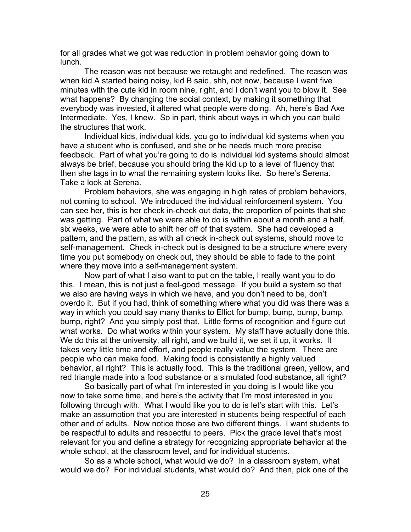for all grades what we got was reduction in problem behavior going down to lunch.

The reason was not because we retaught and redefined. The reason was when kid A started being noisy, kid B said, shh, not now, because I want five minutes with the cute kid in room nine, right, and I don't want you to blow it. See what happens? By changing the social context, by making it something that everybody was invested, it altered what people were doing. Ah, here's Bad Axe Intermediate. Yes, I knew. So in part, think about ways in which you can build the structures that work.

Individual kids, individual kids, you go to individual kid systems when you have a student who is confused, and she or he needs much more precise feedback. Part of what you're going to do is individual kid systems should almost always be brief, because you should bring the kid up to a level of fluency that then she tags in to what the remaining system looks like. So here's Serena. Take a look at Serena.

Problem behaviors, she was engaging in high rates of problem behaviors, not coming to school. We introduced the individual reinforcement system. You can see her, this is her check in-check out data, the proportion of points that she was getting. Part of what we were able to do is within about a month and a half, six weeks, we were able to shift her off of that system. She had developed a pattern, and the pattern, as with all check in-check out systems, should move to self-management. Check in-check out is designed to be a structure where every time you put somebody on check out, they should be able to fade to the point where they move into a self-management system.

Now part of what I also want to put on the table, I really want you to do this. I mean, this is not just a feel-good message. If you build a system so that we also are having ways in which we have, and you don't need to be, don't overdo it. But if you had, think of something where what you did was there was a way in which you could say many thanks to Elliot for bump, bump, bump, bump, bump, right? And you simply post that. Little forms of recognition and figure out what works. Do what works within your system. My staff have actually done this. We do this at the university, all right, and we build it, we set it up, it works. It takes very little time and effort, and people really value the system. There are people who can make food. Making food is consistently a highly valued behavior, all right? This is actually food. This is the traditional green, yellow, and red triangle made into a food substance or a simulated food substance, all right?

So basically part of what I'm interested in you doing is I would like you now to take some time, and here's the activity that I'm most interested in you following through with. What I would like you to do is let's start with this. Let's make an assumption that you are interested in students being respectful of each other and of adults. Now notice those are two different things. I want students to be respectful to adults and respectful to peers. Pick the grade level that's most relevant for you and define a strategy for recognizing appropriate behavior at the whole school, at the classroom level, and for individual students.

So as a whole school, what would we do? In a classroom system, what would we do? For individual students, what would do? And then, pick one of the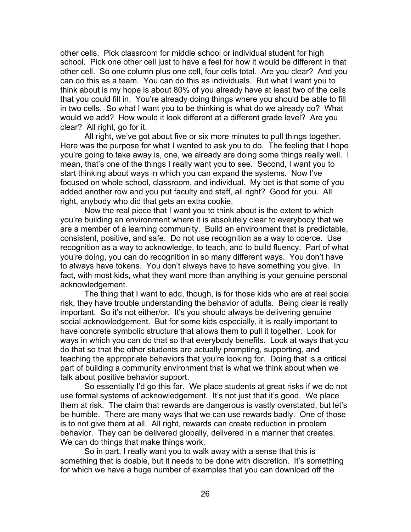other cells. Pick classroom for middle school or individual student for high school. Pick one other cell just to have a feel for how it would be different in that other cell. So one column plus one cell, four cells total. Are you clear? And you can do this as a team. You can do this as individuals. But what I want you to think about is my hope is about 80% of you already have at least two of the cells that you could fill in. You're already doing things where you should be able to fill in two cells. So what I want you to be thinking is what do we already do? What would we add? How would it look different at a different grade level? Are you clear? All right, go for it.

All right, we've got about five or six more minutes to pull things together. Here was the purpose for what I wanted to ask you to do. The feeling that I hope you're going to take away is, one, we already are doing some things really well. I mean, that's one of the things I really want you to see. Second, I want you to start thinking about ways in which you can expand the systems. Now I've focused on whole school, classroom, and individual. My bet is that some of you added another row and you put faculty and staff, all right? Good for you. All right, anybody who did that gets an extra cookie.

Now the real piece that I want you to think about is the extent to which you're building an environment where it is absolutely clear to everybody that we are a member of a learning community. Build an environment that is predictable, consistent, positive, and safe. Do not use recognition as a way to coerce. Use recognition as a way to acknowledge, to teach, and to build fluency. Part of what you're doing, you can do recognition in so many different ways. You don't have to always have tokens. You don't always have to have something you give. In fact, with most kids, what they want more than anything is your genuine personal acknowledgement.

The thing that I want to add, though, is for those kids who are at real social risk, they have trouble understanding the behavior of adults. Being clear is really important. So it's not either/or. It's you should always be delivering genuine social acknowledgement. But for some kids especially, it is really important to have concrete symbolic structure that allows them to pull it together. Look for ways in which you can do that so that everybody benefits. Look at ways that you do that so that the other students are actually prompting, supporting, and teaching the appropriate behaviors that you're looking for. Doing that is a critical part of building a community environment that is what we think about when we talk about positive behavior support.

So essentially I'd go this far. We place students at great risks if we do not use formal systems of acknowledgement. It's not just that it's good. We place them at risk. The claim that rewards are dangerous is vastly overstated, but let's be humble. There are many ways that we can use rewards badly. One of those is to not give them at all. All right, rewards can create reduction in problem behavior. They can be delivered globally, delivered in a manner that creates. We can do things that make things work.

So in part, I really want you to walk away with a sense that this is something that is doable, but it needs to be done with discretion. It's something for which we have a huge number of examples that you can download off the